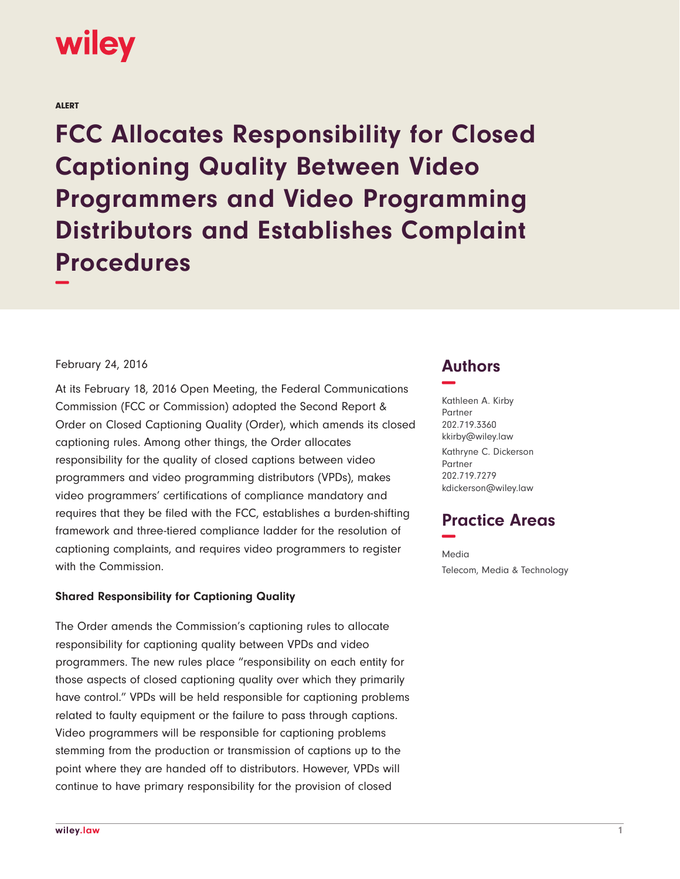# wiley

ALERT

**FCC Allocates Responsibility for Closed Captioning Quality Between Video Programmers and Video Programming Distributors and Establishes Complaint Procedures −**

#### February 24, 2016

At its February 18, 2016 Open Meeting, the Federal Communications Commission (FCC or Commission) adopted the Second Report & Order on Closed Captioning Quality (Order), which amends its closed captioning rules. Among other things, the Order allocates responsibility for the quality of closed captions between video programmers and video programming distributors (VPDs), makes video programmers' certifications of compliance mandatory and requires that they be filed with the FCC, establishes a burden-shifting framework and three-tiered compliance ladder for the resolution of captioning complaints, and requires video programmers to register with the Commission.

#### **Shared Responsibility for Captioning Quality**

The Order amends the Commission's captioning rules to allocate responsibility for captioning quality between VPDs and video programmers. The new rules place "responsibility on each entity for those aspects of closed captioning quality over which they primarily have control." VPDs will be held responsible for captioning problems related to faulty equipment or the failure to pass through captions. Video programmers will be responsible for captioning problems stemming from the production or transmission of captions up to the point where they are handed off to distributors. However, VPDs will continue to have primary responsibility for the provision of closed

# **Authors −**

Kathleen A. Kirby Partner 202.719.3360 kkirby@wiley.law Kathryne C. Dickerson Partner 202.719.7279 kdickerson@wiley.law

# **Practice Areas −**

Media Telecom, Media & Technology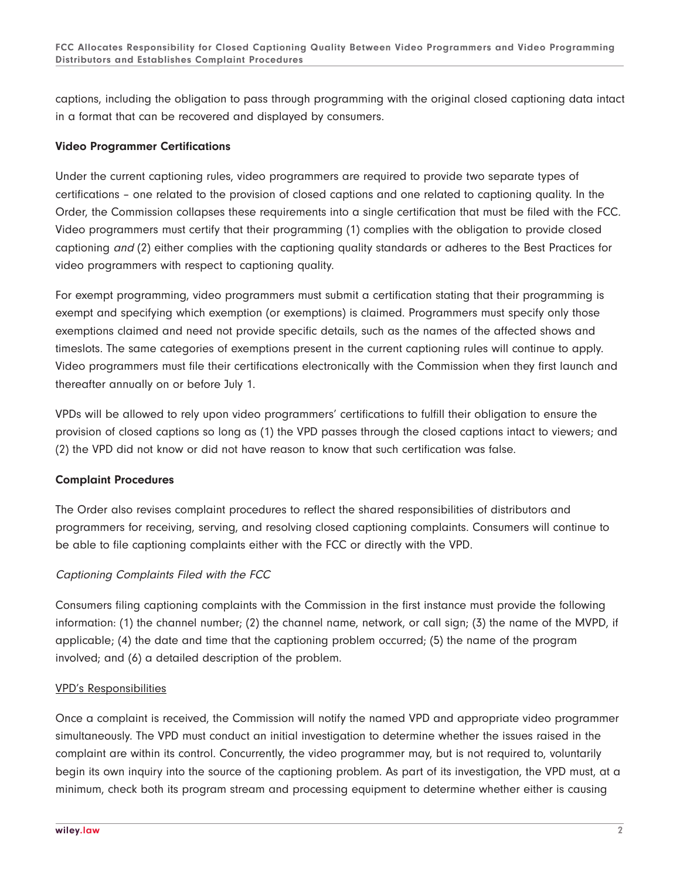captions, including the obligation to pass through programming with the original closed captioning data intact in a format that can be recovered and displayed by consumers.

# **Video Programmer Certifications**

Under the current captioning rules, video programmers are required to provide two separate types of certifications – one related to the provision of closed captions and one related to captioning quality. In the Order, the Commission collapses these requirements into a single certification that must be filed with the FCC. Video programmers must certify that their programming (1) complies with the obligation to provide closed captioning and (2) either complies with the captioning quality standards or adheres to the Best Practices for video programmers with respect to captioning quality.

For exempt programming, video programmers must submit a certification stating that their programming is exempt and specifying which exemption (or exemptions) is claimed. Programmers must specify only those exemptions claimed and need not provide specific details, such as the names of the affected shows and timeslots. The same categories of exemptions present in the current captioning rules will continue to apply. Video programmers must file their certifications electronically with the Commission when they first launch and thereafter annually on or before July 1.

VPDs will be allowed to rely upon video programmers' certifications to fulfill their obligation to ensure the provision of closed captions so long as (1) the VPD passes through the closed captions intact to viewers; and (2) the VPD did not know or did not have reason to know that such certification was false.

#### **Complaint Procedures**

The Order also revises complaint procedures to reflect the shared responsibilities of distributors and programmers for receiving, serving, and resolving closed captioning complaints. Consumers will continue to be able to file captioning complaints either with the FCC or directly with the VPD.

# Captioning Complaints Filed with the FCC

Consumers filing captioning complaints with the Commission in the first instance must provide the following information: (1) the channel number; (2) the channel name, network, or call sign; (3) the name of the MVPD, if applicable; (4) the date and time that the captioning problem occurred; (5) the name of the program involved; and (6) a detailed description of the problem.

#### VPD's Responsibilities

Once a complaint is received, the Commission will notify the named VPD and appropriate video programmer simultaneously. The VPD must conduct an initial investigation to determine whether the issues raised in the complaint are within its control. Concurrently, the video programmer may, but is not required to, voluntarily begin its own inquiry into the source of the captioning problem. As part of its investigation, the VPD must, at a minimum, check both its program stream and processing equipment to determine whether either is causing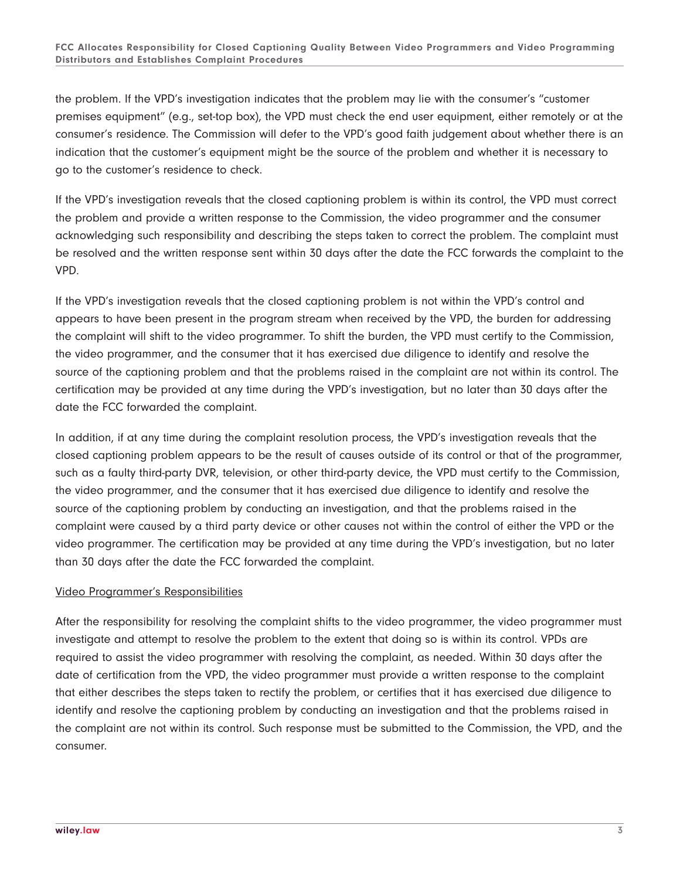the problem. If the VPD's investigation indicates that the problem may lie with the consumer's "customer premises equipment" (e.g., set-top box), the VPD must check the end user equipment, either remotely or at the consumer's residence. The Commission will defer to the VPD's good faith judgement about whether there is an indication that the customer's equipment might be the source of the problem and whether it is necessary to go to the customer's residence to check.

If the VPD's investigation reveals that the closed captioning problem is within its control, the VPD must correct the problem and provide a written response to the Commission, the video programmer and the consumer acknowledging such responsibility and describing the steps taken to correct the problem. The complaint must be resolved and the written response sent within 30 days after the date the FCC forwards the complaint to the VPD.

If the VPD's investigation reveals that the closed captioning problem is not within the VPD's control and appears to have been present in the program stream when received by the VPD, the burden for addressing the complaint will shift to the video programmer. To shift the burden, the VPD must certify to the Commission, the video programmer, and the consumer that it has exercised due diligence to identify and resolve the source of the captioning problem and that the problems raised in the complaint are not within its control. The certification may be provided at any time during the VPD's investigation, but no later than 30 days after the date the FCC forwarded the complaint.

In addition, if at any time during the complaint resolution process, the VPD's investigation reveals that the closed captioning problem appears to be the result of causes outside of its control or that of the programmer, such as a faulty third-party DVR, television, or other third-party device, the VPD must certify to the Commission, the video programmer, and the consumer that it has exercised due diligence to identify and resolve the source of the captioning problem by conducting an investigation, and that the problems raised in the complaint were caused by a third party device or other causes not within the control of either the VPD or the video programmer. The certification may be provided at any time during the VPD's investigation, but no later than 30 days after the date the FCC forwarded the complaint.

#### Video Programmer's Responsibilities

After the responsibility for resolving the complaint shifts to the video programmer, the video programmer must investigate and attempt to resolve the problem to the extent that doing so is within its control. VPDs are required to assist the video programmer with resolving the complaint, as needed. Within 30 days after the date of certification from the VPD, the video programmer must provide a written response to the complaint that either describes the steps taken to rectify the problem, or certifies that it has exercised due diligence to identify and resolve the captioning problem by conducting an investigation and that the problems raised in the complaint are not within its control. Such response must be submitted to the Commission, the VPD, and the consumer.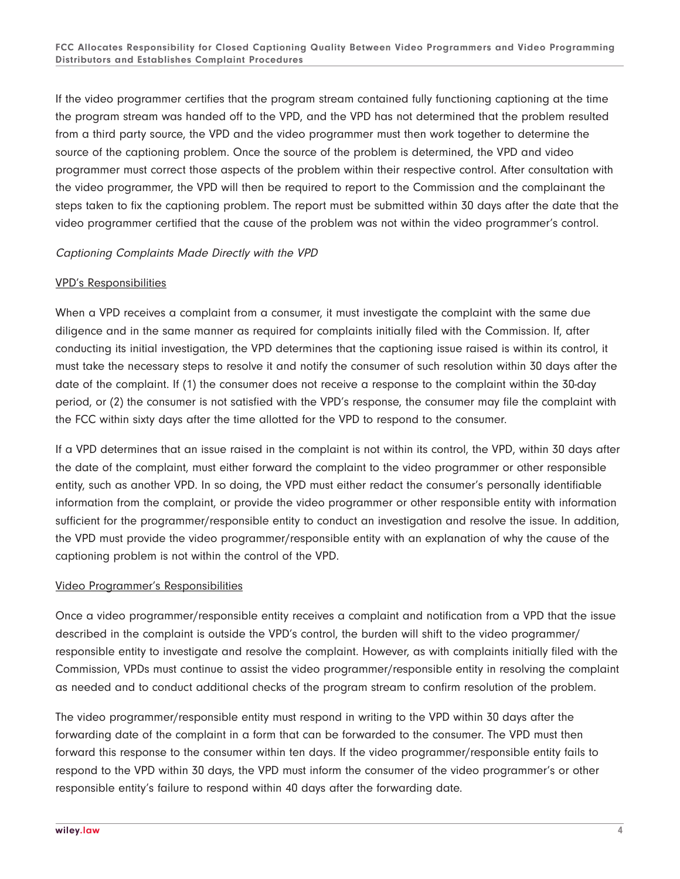If the video programmer certifies that the program stream contained fully functioning captioning at the time the program stream was handed off to the VPD, and the VPD has not determined that the problem resulted from a third party source, the VPD and the video programmer must then work together to determine the source of the captioning problem. Once the source of the problem is determined, the VPD and video programmer must correct those aspects of the problem within their respective control. After consultation with the video programmer, the VPD will then be required to report to the Commission and the complainant the steps taken to fix the captioning problem. The report must be submitted within 30 days after the date that the video programmer certified that the cause of the problem was not within the video programmer's control.

### Captioning Complaints Made Directly with the VPD

#### VPD's Responsibilities

When a VPD receives a complaint from a consumer, it must investigate the complaint with the same due diligence and in the same manner as required for complaints initially filed with the Commission. If, after conducting its initial investigation, the VPD determines that the captioning issue raised is within its control, it must take the necessary steps to resolve it and notify the consumer of such resolution within 30 days after the date of the complaint. If (1) the consumer does not receive a response to the complaint within the 30-day period, or (2) the consumer is not satisfied with the VPD's response, the consumer may file the complaint with the FCC within sixty days after the time allotted for the VPD to respond to the consumer.

If a VPD determines that an issue raised in the complaint is not within its control, the VPD, within 30 days after the date of the complaint, must either forward the complaint to the video programmer or other responsible entity, such as another VPD. In so doing, the VPD must either redact the consumer's personally identifiable information from the complaint, or provide the video programmer or other responsible entity with information sufficient for the programmer/responsible entity to conduct an investigation and resolve the issue. In addition, the VPD must provide the video programmer/responsible entity with an explanation of why the cause of the captioning problem is not within the control of the VPD.

#### Video Programmer's Responsibilities

Once a video programmer/responsible entity receives a complaint and notification from a VPD that the issue described in the complaint is outside the VPD's control, the burden will shift to the video programmer/ responsible entity to investigate and resolve the complaint. However, as with complaints initially filed with the Commission, VPDs must continue to assist the video programmer/responsible entity in resolving the complaint as needed and to conduct additional checks of the program stream to confirm resolution of the problem.

The video programmer/responsible entity must respond in writing to the VPD within 30 days after the forwarding date of the complaint in a form that can be forwarded to the consumer. The VPD must then forward this response to the consumer within ten days. If the video programmer/responsible entity fails to respond to the VPD within 30 days, the VPD must inform the consumer of the video programmer's or other responsible entity's failure to respond within 40 days after the forwarding date.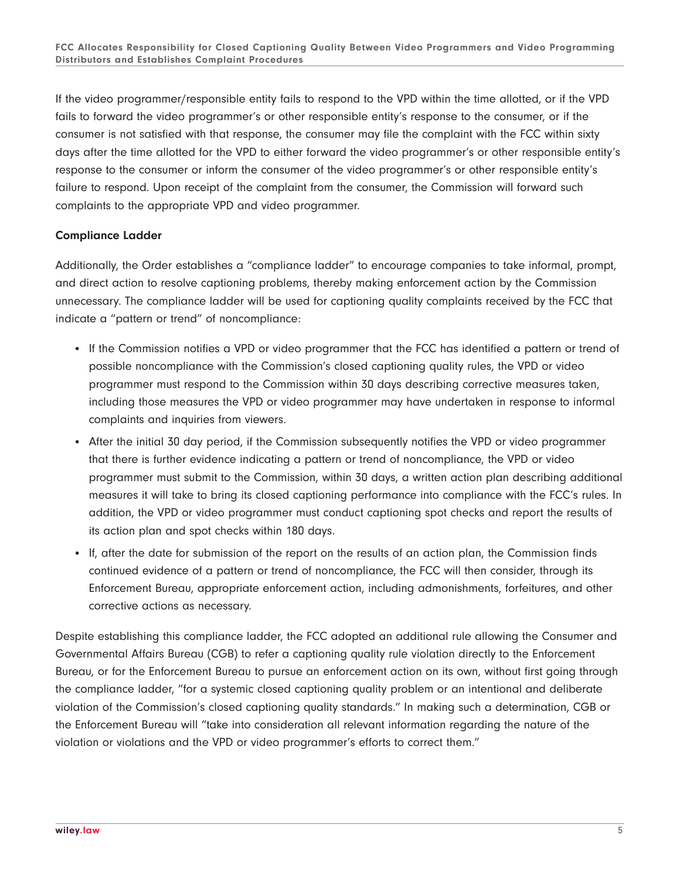If the video programmer/responsible entity fails to respond to the VPD within the time allotted, or if the VPD fails to forward the video programmer's or other responsible entity's response to the consumer, or if the consumer is not satisfied with that response, the consumer may file the complaint with the FCC within sixty days after the time allotted for the VPD to either forward the video programmer's or other responsible entity's response to the consumer or inform the consumer of the video programmer's or other responsible entity's failure to respond. Upon receipt of the complaint from the consumer, the Commission will forward such complaints to the appropriate VPD and video programmer.

# **Compliance Ladder**

Additionally, the Order establishes a "compliance ladder" to encourage companies to take informal, prompt, and direct action to resolve captioning problems, thereby making enforcement action by the Commission unnecessary. The compliance ladder will be used for captioning quality complaints received by the FCC that indicate a "pattern or trend" of noncompliance:

- If the Commission notifies a VPD or video programmer that the FCC has identified a pattern or trend of possible noncompliance with the Commission's closed captioning quality rules, the VPD or video programmer must respond to the Commission within 30 days describing corrective measures taken, including those measures the VPD or video programmer may have undertaken in response to informal complaints and inquiries from viewers.
- After the initial 30 day period, if the Commission subsequently notifies the VPD or video programmer that there is further evidence indicating a pattern or trend of noncompliance, the VPD or video programmer must submit to the Commission, within 30 days, a written action plan describing additional measures it will take to bring its closed captioning performance into compliance with the FCC's rules. In addition, the VPD or video programmer must conduct captioning spot checks and report the results of its action plan and spot checks within 180 days.
- If, after the date for submission of the report on the results of an action plan, the Commission finds continued evidence of a pattern or trend of noncompliance, the FCC will then consider, through its Enforcement Bureau, appropriate enforcement action, including admonishments, forfeitures, and other corrective actions as necessary.

Despite establishing this compliance ladder, the FCC adopted an additional rule allowing the Consumer and Governmental Affairs Bureau (CGB) to refer a captioning quality rule violation directly to the Enforcement Bureau, or for the Enforcement Bureau to pursue an enforcement action on its own, without first going through the compliance ladder, "for a systemic closed captioning quality problem or an intentional and deliberate violation of the Commission's closed captioning quality standards." In making such a determination, CGB or the Enforcement Bureau will "take into consideration all relevant information regarding the nature of the violation or violations and the VPD or video programmer's efforts to correct them."